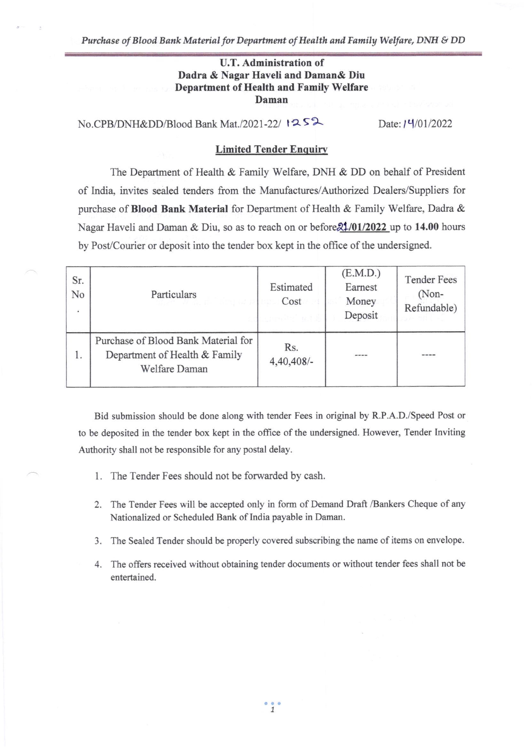## U.T. Administration of Dadra & Nagar Haveli and Daman& Diu Department of Health and Family Welfare Daman

No.CPB/DNH&DD/Blood Bank Mat./2021-22/  $1252$ 

Date:  $14/01/2022$ 

#### **Limited Tender Enquiry**

The Department of Health & Family Welfare, DNH & DD on behalf of President of India, invites sealed tenders from the Manufactures/Authorized Dealers/Suppliers for purchase of Blood Bank Material for Department of Health & Family Welfare, Dadra & Nagar Haveli and Daman & Diu, so as to reach on or before  $21/01/2022$  up to 14.00 hours by Post/Courier or deposit into the tender box kept in the office of the undersigned.

| Sr.<br>No<br>$\overline{\phantom{a}}$ | Particulars<br>துள் இது நின்வு வரு                                                    | Estimated<br>Cost<br>an mashindi wa SA | (E.M.D.)<br>Earnest<br>Money<br>Deposit | <b>Tender Fees</b><br>(Non-<br>Refundable) |
|---------------------------------------|---------------------------------------------------------------------------------------|----------------------------------------|-----------------------------------------|--------------------------------------------|
| 1.                                    | Purchase of Blood Bank Material for<br>Department of Health & Family<br>Welfare Daman | Rs.<br>4,40,408/-                      |                                         |                                            |

Bid submission should be done along with tender Fees in original by R.P.A.D./Speed Post or to be deposited in the tender box kept in the office of the undersigned. However, Tender Inviting Authority shall not be responsible for any postal delay.

- 1. The Tender Fees should not be forwarded by cash.
- 2. The Tender Fees will be accepted only in form of Demand Draft /Bankers Cheque of any Nationalized or Scheduled Bank of India payable in Daman.
- 3. The Sealed Tender should be properly covered subscribing the name of items on envelope.
- 4. The offers received without obtaining tender documents or without tender fees shall not be entertained.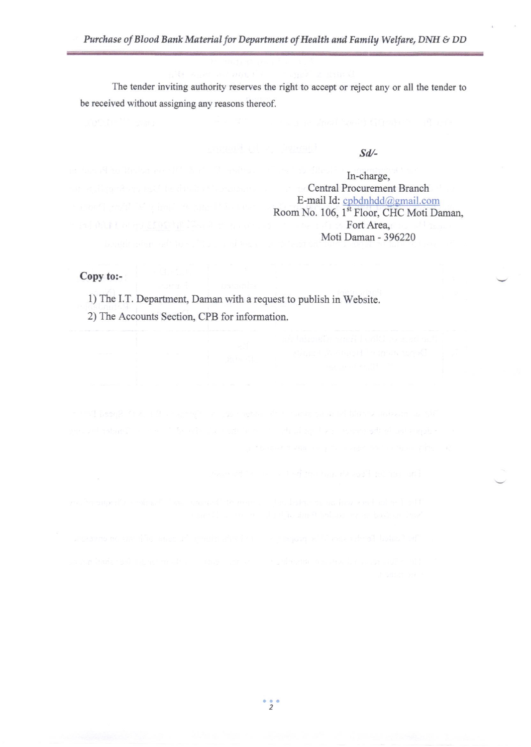The tender inviting authority reserves the right to accept or reject any or all the tender to be received without assigning any reasons thereof.

#### Sd/-

In-charge, Central Procurement Branch E-mail Id: cpbdnhdd@gmail.com Room No. 106, 1<sup>st</sup> Floor, CHC Moti Daman, Fort Area, Moti Daman - 396220

# Copy to:-

1) The I.T. Department, Daman with a request to publish in Website.

2) The Accounts Section, CPB for information.

 $\frac{1}{2}$